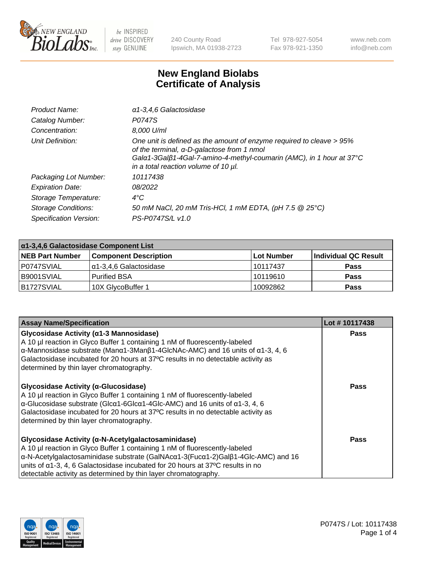

240 County Road Ipswich, MA 01938-2723 Tel 978-927-5054 Fax 978-921-1350 www.neb.com info@neb.com

## **New England Biolabs Certificate of Analysis**

| Product Name:              | a1-3,4,6 Galactosidase                                                                                                                                                                                                             |
|----------------------------|------------------------------------------------------------------------------------------------------------------------------------------------------------------------------------------------------------------------------------|
| Catalog Number:            | P0747S                                                                                                                                                                                                                             |
| Concentration:             | 8,000 U/ml                                                                                                                                                                                                                         |
| Unit Definition:           | One unit is defined as the amount of enzyme required to cleave > 95%<br>of the terminal, α-D-galactose from 1 nmol<br>Gala1-3Galß1-4Gal-7-amino-4-methyl-coumarin (AMC), in 1 hour at 37°C<br>in a total reaction volume of 10 µl. |
| Packaging Lot Number:      | 10117438                                                                                                                                                                                                                           |
| <b>Expiration Date:</b>    | 08/2022                                                                                                                                                                                                                            |
| Storage Temperature:       | $4^{\circ}$ C                                                                                                                                                                                                                      |
| <b>Storage Conditions:</b> | 50 mM NaCl, 20 mM Tris-HCl, 1 mM EDTA, (pH 7.5 @ 25°C)                                                                                                                                                                             |
| Specification Version:     | PS-P0747S/L v1.0                                                                                                                                                                                                                   |

| α1-3,4,6 Galactosidase Component List |                              |             |                      |  |
|---------------------------------------|------------------------------|-------------|----------------------|--|
| <b>NEB Part Number</b>                | <b>Component Description</b> | ⊺Lot Number | Individual QC Result |  |
| P0747SVIAL                            | α1-3,4,6 Galactosidase       | 10117437    | <b>Pass</b>          |  |
| B9001SVIAL                            | <b>Purified BSA</b>          | 10119610    | <b>Pass</b>          |  |
| B1727SVIAL                            | 10X GlycoBuffer 1            | 10092862    | <b>Pass</b>          |  |

| <b>Assay Name/Specification</b>                                                                                                                                                                                                                                                                                                                                                                                      | Lot #10117438 |
|----------------------------------------------------------------------------------------------------------------------------------------------------------------------------------------------------------------------------------------------------------------------------------------------------------------------------------------------------------------------------------------------------------------------|---------------|
| Glycosidase Activity (α1-3 Mannosidase)<br>A 10 µl reaction in Glyco Buffer 1 containing 1 nM of fluorescently-labeled<br>$\alpha$ -Mannosidase substrate (Man $\alpha$ 1-3Man $\beta$ 1-4GlcNAc-AMC) and 16 units of $\alpha$ 1-3, 4, 6<br>Galactosidase incubated for 20 hours at 37°C results in no detectable activity as<br>determined by thin layer chromatography.                                            | Pass          |
| Glycosidase Activity (α-Glucosidase)<br>A 10 µl reaction in Glyco Buffer 1 containing 1 nM of fluorescently-labeled<br>$\alpha$ -Glucosidase substrate (Glc $\alpha$ 1-6Glc $\alpha$ 1-4Glc-AMC) and 16 units of $\alpha$ 1-3, 4, 6<br>Galactosidase incubated for 20 hours at 37°C results in no detectable activity as<br>determined by thin layer chromatography.                                                 | <b>Pass</b>   |
| Glycosidase Activity (α-N-Acetylgalactosaminidase)<br>A 10 µl reaction in Glyco Buffer 1 containing 1 nM of fluorescently-labeled<br>$\alpha$ -N-Acetylgalactosaminidase substrate (GalNAc $\alpha$ 1-3(Fuc $\alpha$ 1-2)Gal $\beta$ 1-4Glc-AMC) and 16<br>units of $\alpha$ 1-3, 4, 6 Galactosidase incubated for 20 hours at 37°C results in no<br>detectable activity as determined by thin layer chromatography. | Pass          |

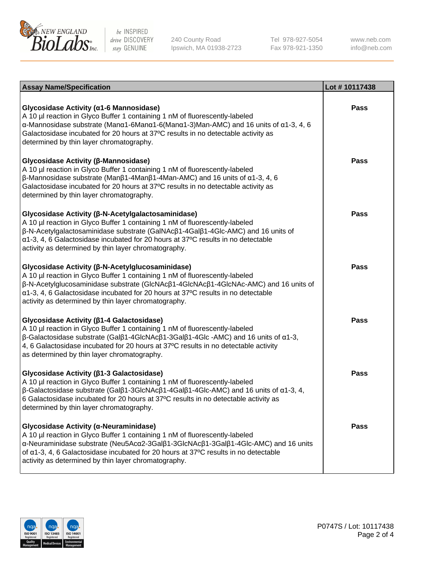

240 County Road Ipswich, MA 01938-2723 Tel 978-927-5054 Fax 978-921-1350

www.neb.com info@neb.com

| <b>Assay Name/Specification</b>                                                                                                                                                                                                                                                                                                                                                             | Lot #10117438 |
|---------------------------------------------------------------------------------------------------------------------------------------------------------------------------------------------------------------------------------------------------------------------------------------------------------------------------------------------------------------------------------------------|---------------|
| Glycosidase Activity (α1-6 Mannosidase)<br>A 10 µl reaction in Glyco Buffer 1 containing 1 nM of fluorescently-labeled<br>$\alpha$ -Mannosidase substrate (Man $\alpha$ 1-6Man $\alpha$ 1-6(Man $\alpha$ 1-3)Man-AMC) and 16 units of $\alpha$ 1-3, 4, 6<br>Galactosidase incubated for 20 hours at 37°C results in no detectable activity as<br>determined by thin layer chromatography.   | <b>Pass</b>   |
| Glycosidase Activity (β-Mannosidase)<br>A 10 µl reaction in Glyco Buffer 1 containing 1 nM of fluorescently-labeled<br>$\beta$ -Mannosidase substrate (Μanβ1-4Μanβ1-4Μan-AMC) and 16 units of $\alpha$ 1-3, 4, 6<br>Galactosidase incubated for 20 hours at 37°C results in no detectable activity as<br>determined by thin layer chromatography.                                           | Pass          |
| Glycosidase Activity (β-N-Acetylgalactosaminidase)<br>A 10 µl reaction in Glyco Buffer 1 containing 1 nM of fluorescently-labeled<br>β-N-Acetylgalactosaminidase substrate (GalNAcβ1-4Galβ1-4Glc-AMC) and 16 units of<br>α1-3, 4, 6 Galactosidase incubated for 20 hours at 37°C results in no detectable<br>activity as determined by thin layer chromatography.                           | <b>Pass</b>   |
| Glycosidase Activity (β-N-Acetylglucosaminidase)<br>A 10 µl reaction in Glyco Buffer 1 containing 1 nM of fluorescently-labeled<br>β-N-Acetylglucosaminidase substrate (GlcNAcβ1-4GlcNAcβ1-4GlcNAc-AMC) and 16 units of<br>α1-3, 4, 6 Galactosidase incubated for 20 hours at 37°C results in no detectable<br>activity as determined by thin layer chromatography.                         | <b>Pass</b>   |
| Glycosidase Activity (β1-4 Galactosidase)<br>A 10 µl reaction in Glyco Buffer 1 containing 1 nM of fluorescently-labeled<br>$\beta$ -Galactosidase substrate (Gal $\beta$ 1-4GlcNAc $\beta$ 1-3Gal $\beta$ 1-4Glc -AMC) and 16 units of $\alpha$ 1-3,<br>4, 6 Galactosidase incubated for 20 hours at 37°C results in no detectable activity<br>as determined by thin layer chromatography. | <b>Pass</b>   |
| Glycosidase Activity (β1-3 Galactosidase)<br>A 10 µl reaction in Glyco Buffer 1 containing 1 nM of fluorescently-labeled<br>$\beta$ -Galactosidase substrate (Gal $\beta$ 1-3GlcNAc $\beta$ 1-4Gal $\beta$ 1-4Glc-AMC) and 16 units of $\alpha$ 1-3, 4,<br>6 Galactosidase incubated for 20 hours at 37°C results in no detectable activity as<br>determined by thin layer chromatography.  | <b>Pass</b>   |
| Glycosidase Activity (α-Neuraminidase)<br>A 10 µl reaction in Glyco Buffer 1 containing 1 nM of fluorescently-labeled<br>α-Neuraminidase substrate (Neu5Acα2-3Galβ1-3GlcNAcβ1-3Galβ1-4Glc-AMC) and 16 units<br>of $\alpha$ 1-3, 4, 6 Galactosidase incubated for 20 hours at 37 $\degree$ C results in no detectable<br>activity as determined by thin layer chromatography.                | Pass          |

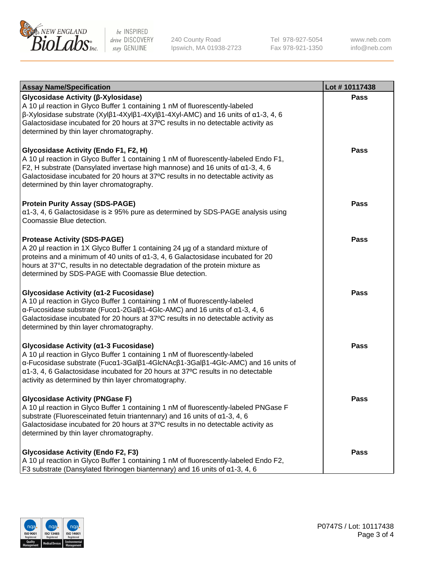

240 County Road Ipswich, MA 01938-2723 Tel 978-927-5054 Fax 978-921-1350 www.neb.com info@neb.com

| <b>Assay Name/Specification</b>                                                                                                                                                                                                                                                                                                                             | Lot #10117438 |
|-------------------------------------------------------------------------------------------------------------------------------------------------------------------------------------------------------------------------------------------------------------------------------------------------------------------------------------------------------------|---------------|
| Glycosidase Activity (β-Xylosidase)<br>A 10 µl reaction in Glyco Buffer 1 containing 1 nM of fluorescently-labeled<br>$\beta$ -Xylosidase substrate (Xylβ1-4Xylβ1-4Xylβ1-4Xyl-AMC) and 16 units of α1-3, 4, 6<br>Galactosidase incubated for 20 hours at 37°C results in no detectable activity as<br>determined by thin layer chromatography.              | <b>Pass</b>   |
| Glycosidase Activity (Endo F1, F2, H)<br>A 10 µl reaction in Glyco Buffer 1 containing 1 nM of fluorescently-labeled Endo F1,<br>F2, H substrate (Dansylated invertase high mannose) and 16 units of $\alpha$ 1-3, 4, 6<br>Galactosidase incubated for 20 hours at 37°C results in no detectable activity as<br>determined by thin layer chromatography.    | <b>Pass</b>   |
| <b>Protein Purity Assay (SDS-PAGE)</b><br>$\alpha$ 1-3, 4, 6 Galactosidase is $\geq$ 95% pure as determined by SDS-PAGE analysis using<br>Coomassie Blue detection.                                                                                                                                                                                         | <b>Pass</b>   |
| <b>Protease Activity (SDS-PAGE)</b><br>A 20 µl reaction in 1X Glyco Buffer 1 containing 24 µg of a standard mixture of<br>proteins and a minimum of 40 units of $\alpha$ 1-3, 4, 6 Galactosidase incubated for 20<br>hours at 37°C, results in no detectable degradation of the protein mixture as<br>determined by SDS-PAGE with Coomassie Blue detection. | <b>Pass</b>   |
| Glycosidase Activity (α1-2 Fucosidase)<br>A 10 µl reaction in Glyco Buffer 1 containing 1 nM of fluorescently-labeled<br>α-Fucosidase substrate (Fucα1-2Galβ1-4Glc-AMC) and 16 units of α1-3, 4, 6<br>Galactosidase incubated for 20 hours at 37°C results in no detectable activity as<br>determined by thin layer chromatography.                         | <b>Pass</b>   |
| Glycosidase Activity (α1-3 Fucosidase)<br>A 10 µl reaction in Glyco Buffer 1 containing 1 nM of fluorescently-labeled<br>α-Fucosidase substrate (Fucα1-3Galβ1-4GlcNAcβ1-3Galβ1-4Glc-AMC) and 16 units of<br>α1-3, 4, 6 Galactosidase incubated for 20 hours at 37°C results in no detectable<br>activity as determined by thin layer chromatography.        | <b>Pass</b>   |
| <b>Glycosidase Activity (PNGase F)</b><br>A 10 µl reaction in Glyco Buffer 1 containing 1 nM of fluorescently-labeled PNGase F<br>substrate (Fluoresceinated fetuin triantennary) and 16 units of $\alpha$ 1-3, 4, 6<br>Galactosidase incubated for 20 hours at 37°C results in no detectable activity as<br>determined by thin layer chromatography.       | <b>Pass</b>   |
| <b>Glycosidase Activity (Endo F2, F3)</b><br>A 10 µl reaction in Glyco Buffer 1 containing 1 nM of fluorescently-labeled Endo F2,<br>F3 substrate (Dansylated fibrinogen biantennary) and 16 units of $\alpha$ 1-3, 4, 6                                                                                                                                    | <b>Pass</b>   |